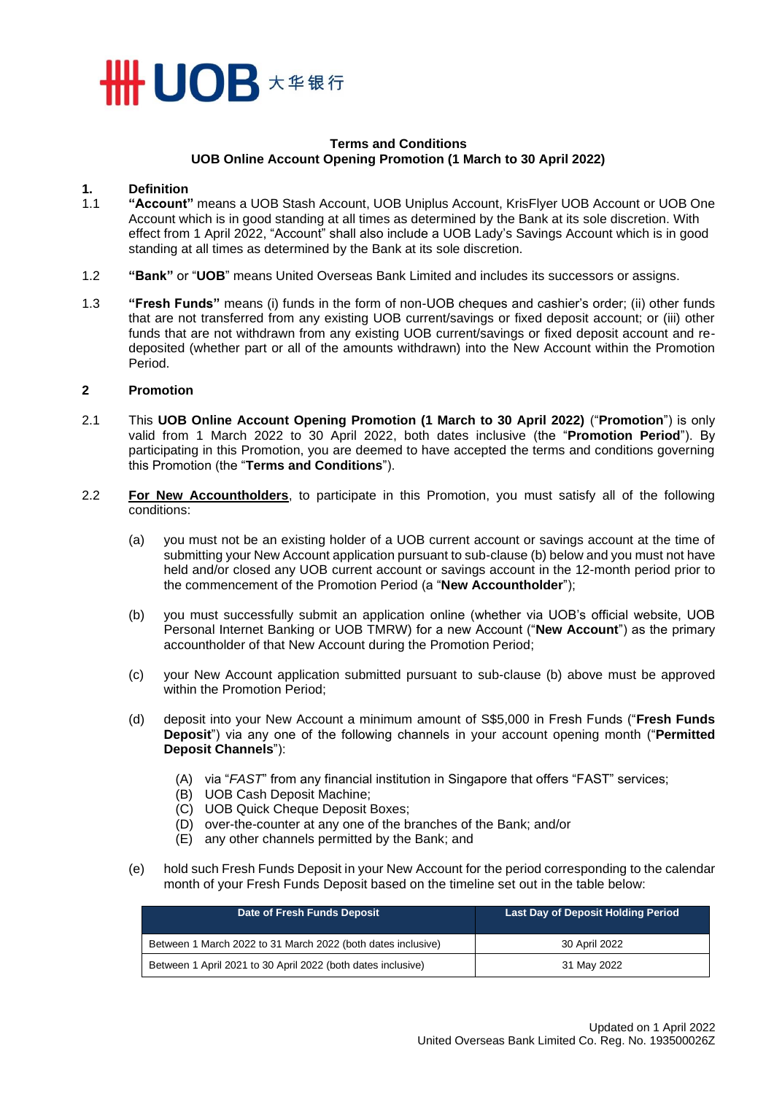

#### **Terms and Conditions UOB Online Account Opening Promotion (1 March to 30 April 2022)**

#### **1. Definition**

- 1.1 **"Account"** means a UOB Stash Account, UOB Uniplus Account, KrisFlyer UOB Account or UOB One Account which is in good standing at all times as determined by the Bank at its sole discretion. With effect from 1 April 2022, "Account" shall also include a UOB Lady's Savings Account which is in good standing at all times as determined by the Bank at its sole discretion.
- 1.2 **"Bank"** or "**UOB**" means United Overseas Bank Limited and includes its successors or assigns.
- 1.3 **"Fresh Funds"** means (i) funds in the form of non-UOB cheques and cashier's order; (ii) other funds that are not transferred from any existing UOB current/savings or fixed deposit account; or (iii) other funds that are not withdrawn from any existing UOB current/savings or fixed deposit account and redeposited (whether part or all of the amounts withdrawn) into the New Account within the Promotion Period.

#### **2 Promotion**

- 2.1 This **UOB Online Account Opening Promotion (1 March to 30 April 2022)** ("**Promotion**") is only valid from 1 March 2022 to 30 April 2022, both dates inclusive (the "**Promotion Period**"). By participating in this Promotion, you are deemed to have accepted the terms and conditions governing this Promotion (the "**Terms and Conditions**").
- 2.2 **For New Accountholders**, to participate in this Promotion, you must satisfy all of the following conditions:
	- (a) you must not be an existing holder of a UOB current account or savings account at the time of submitting your New Account application pursuant to sub-clause (b) below and you must not have held and/or closed any UOB current account or savings account in the 12-month period prior to the commencement of the Promotion Period (a "**New Accountholder**");
	- (b) you must successfully submit an application online (whether via UOB's official website, UOB Personal Internet Banking or UOB TMRW) for a new Account ("**New Account**") as the primary accountholder of that New Account during the Promotion Period;
	- (c) your New Account application submitted pursuant to sub-clause (b) above must be approved within the Promotion Period;
	- (d) deposit into your New Account a minimum amount of S\$5,000 in Fresh Funds ("**Fresh Funds Deposit**") via any one of the following channels in your account opening month ("**Permitted Deposit Channels**"):
		- (A) via "*FAST*" from any financial institution in Singapore that offers "FAST" services;
		- (B) UOB Cash Deposit Machine;
		- (C) UOB Quick Cheque Deposit Boxes;
		- (D) over-the-counter at any one of the branches of the Bank; and/or
		- (E) any other channels permitted by the Bank; and
	- (e) hold such Fresh Funds Deposit in your New Account for the period corresponding to the calendar month of your Fresh Funds Deposit based on the timeline set out in the table below:

| Date of Fresh Funds Deposit                                  | <b>Last Day of Deposit Holding Period</b> |
|--------------------------------------------------------------|-------------------------------------------|
| Between 1 March 2022 to 31 March 2022 (both dates inclusive) | 30 April 2022                             |
| Between 1 April 2021 to 30 April 2022 (both dates inclusive) | 31 May 2022                               |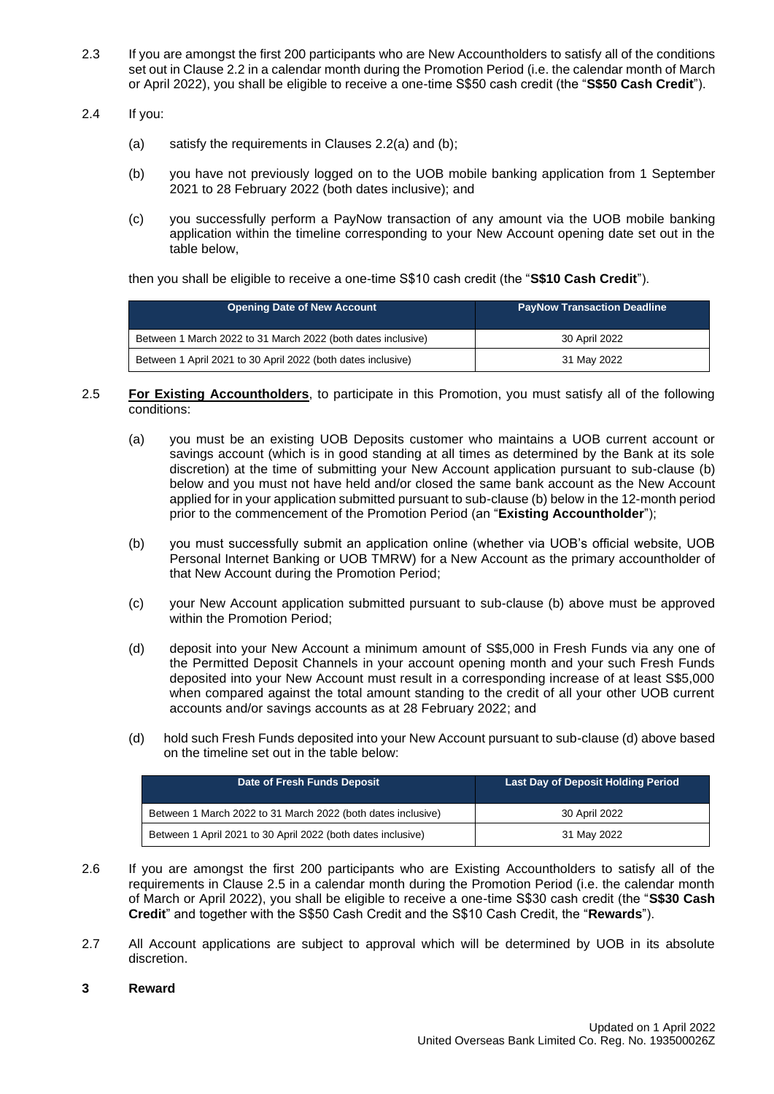- 2.3 If you are amongst the first 200 participants who are New Accountholders to satisfy all of the conditions set out in Clause 2.2 in a calendar month during the Promotion Period (i.e. the calendar month of March or April 2022), you shall be eligible to receive a one-time S\$50 cash credit (the "**S\$50 Cash Credit**").
- 2.4 If you:
	- (a) satisfy the requirements in Clauses 2.2(a) and (b);
	- (b) you have not previously logged on to the UOB mobile banking application from 1 September 2021 to 28 February 2022 (both dates inclusive); and
	- (c) you successfully perform a PayNow transaction of any amount via the UOB mobile banking application within the timeline corresponding to your New Account opening date set out in the table below,

then you shall be eligible to receive a one-time S\$10 cash credit (the "**S\$10 Cash Credit**").

| Opening Date of New Account                                  | <b>PayNow Transaction Deadline</b> |
|--------------------------------------------------------------|------------------------------------|
| Between 1 March 2022 to 31 March 2022 (both dates inclusive) | 30 April 2022                      |
| Between 1 April 2021 to 30 April 2022 (both dates inclusive) | 31 May 2022                        |

- 2.5 **For Existing Accountholders**, to participate in this Promotion, you must satisfy all of the following conditions:
	- (a) you must be an existing UOB Deposits customer who maintains a UOB current account or savings account (which is in good standing at all times as determined by the Bank at its sole discretion) at the time of submitting your New Account application pursuant to sub-clause (b) below and you must not have held and/or closed the same bank account as the New Account applied for in your application submitted pursuant to sub-clause (b) below in the 12-month period prior to the commencement of the Promotion Period (an "**Existing Accountholder**");
	- (b) you must successfully submit an application online (whether via UOB's official website, UOB Personal Internet Banking or UOB TMRW) for a New Account as the primary accountholder of that New Account during the Promotion Period;
	- (c) your New Account application submitted pursuant to sub-clause (b) above must be approved within the Promotion Period;
	- (d) deposit into your New Account a minimum amount of S\$5,000 in Fresh Funds via any one of the Permitted Deposit Channels in your account opening month and your such Fresh Funds deposited into your New Account must result in a corresponding increase of at least S\$5,000 when compared against the total amount standing to the credit of all your other UOB current accounts and/or savings accounts as at 28 February 2022; and
	- (d) hold such Fresh Funds deposited into your New Account pursuant to sub-clause (d) above based on the timeline set out in the table below:

| Date of Fresh Funds Deposit                                  | Last Day of Deposit Holding Period |
|--------------------------------------------------------------|------------------------------------|
| Between 1 March 2022 to 31 March 2022 (both dates inclusive) | 30 April 2022                      |
| Between 1 April 2021 to 30 April 2022 (both dates inclusive) | 31 May 2022                        |

- 2.6 If you are amongst the first 200 participants who are Existing Accountholders to satisfy all of the requirements in Clause 2.5 in a calendar month during the Promotion Period (i.e. the calendar month of March or April 2022), you shall be eligible to receive a one-time S\$30 cash credit (the "**S\$30 Cash Credit**" and together with the S\$50 Cash Credit and the S\$10 Cash Credit, the "**Rewards**").
- 2.7 All Account applications are subject to approval which will be determined by UOB in its absolute discretion.

# **3 Reward**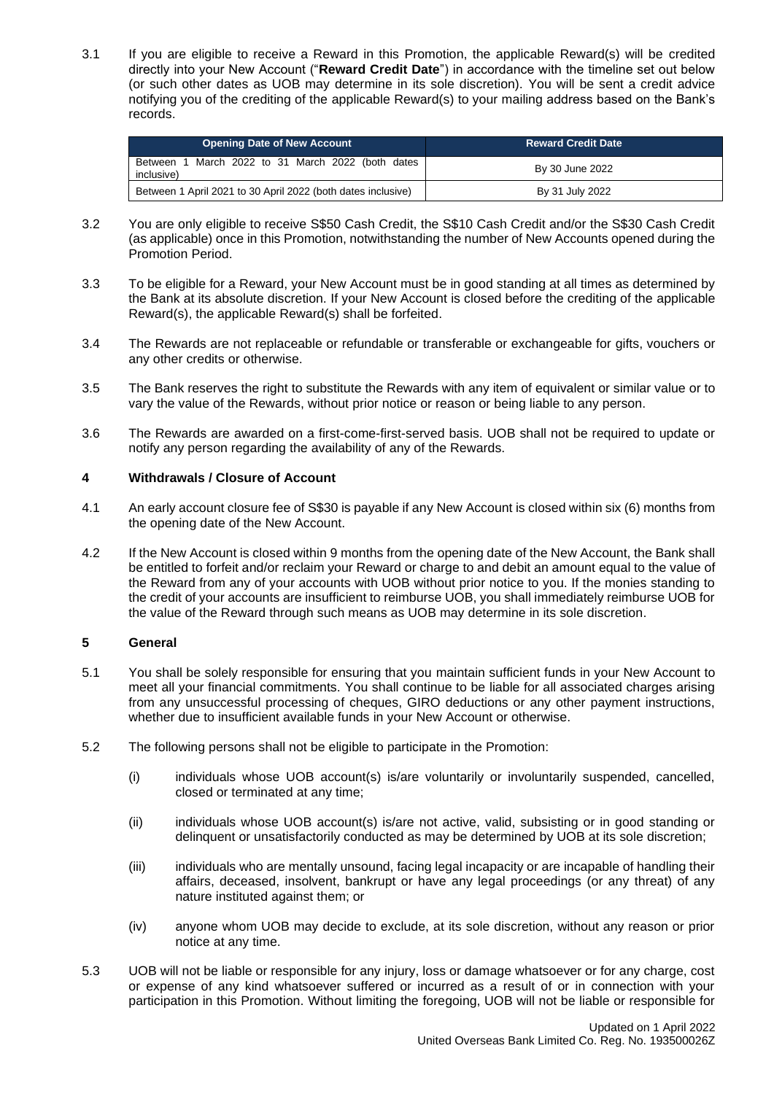3.1 If you are eligible to receive a Reward in this Promotion, the applicable Reward(s) will be credited directly into your New Account ("**Reward Credit Date**") in accordance with the timeline set out below (or such other dates as UOB may determine in its sole discretion). You will be sent a credit advice notifying you of the crediting of the applicable Reward(s) to your mailing address based on the Bank's records.

| <b>Opening Date of New Account</b>                              | ⊦Reward Credit Date <sup>।</sup> |
|-----------------------------------------------------------------|----------------------------------|
| Between 1 March 2022 to 31 March 2022 (both dates<br>inclusive) | By 30 June 2022                  |
| Between 1 April 2021 to 30 April 2022 (both dates inclusive)    | By 31 July 2022                  |

- 3.2 You are only eligible to receive S\$50 Cash Credit, the S\$10 Cash Credit and/or the S\$30 Cash Credit (as applicable) once in this Promotion, notwithstanding the number of New Accounts opened during the Promotion Period.
- 3.3 To be eligible for a Reward, your New Account must be in good standing at all times as determined by the Bank at its absolute discretion. If your New Account is closed before the crediting of the applicable Reward(s), the applicable Reward(s) shall be forfeited.
- 3.4 The Rewards are not replaceable or refundable or transferable or exchangeable for gifts, vouchers or any other credits or otherwise.
- 3.5 The Bank reserves the right to substitute the Rewards with any item of equivalent or similar value or to vary the value of the Rewards, without prior notice or reason or being liable to any person.
- 3.6 The Rewards are awarded on a first-come-first-served basis. UOB shall not be required to update or notify any person regarding the availability of any of the Rewards.

# **4 Withdrawals / Closure of Account**

- 4.1 An early account closure fee of S\$30 is payable if any New Account is closed within six (6) months from the opening date of the New Account.
- 4.2 If the New Account is closed within 9 months from the opening date of the New Account, the Bank shall be entitled to forfeit and/or reclaim your Reward or charge to and debit an amount equal to the value of the Reward from any of your accounts with UOB without prior notice to you. If the monies standing to the credit of your accounts are insufficient to reimburse UOB, you shall immediately reimburse UOB for the value of the Reward through such means as UOB may determine in its sole discretion.

# **5 General**

- 5.1 You shall be solely responsible for ensuring that you maintain sufficient funds in your New Account to meet all your financial commitments. You shall continue to be liable for all associated charges arising from any unsuccessful processing of cheques, GIRO deductions or any other payment instructions, whether due to insufficient available funds in your New Account or otherwise.
- 5.2 The following persons shall not be eligible to participate in the Promotion:
	- (i) individuals whose UOB account(s) is/are voluntarily or involuntarily suspended, cancelled, closed or terminated at any time;
	- (ii) individuals whose UOB account(s) is/are not active, valid, subsisting or in good standing or delinquent or unsatisfactorily conducted as may be determined by UOB at its sole discretion;
	- (iii) individuals who are mentally unsound, facing legal incapacity or are incapable of handling their affairs, deceased, insolvent, bankrupt or have any legal proceedings (or any threat) of any nature instituted against them; or
	- (iv) anyone whom UOB may decide to exclude, at its sole discretion, without any reason or prior notice at any time.
- 5.3 UOB will not be liable or responsible for any injury, loss or damage whatsoever or for any charge, cost or expense of any kind whatsoever suffered or incurred as a result of or in connection with your participation in this Promotion. Without limiting the foregoing, UOB will not be liable or responsible for